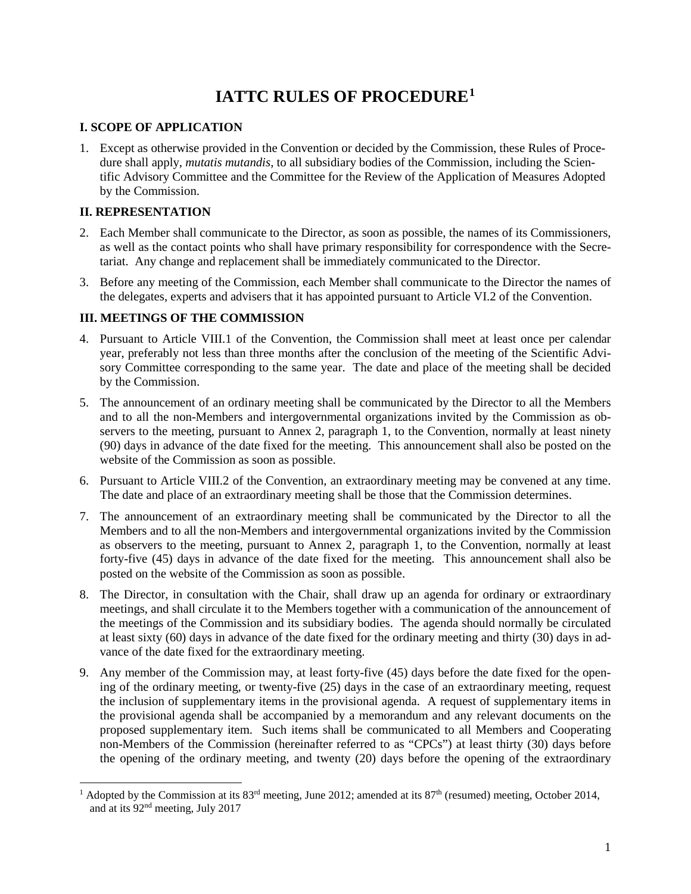# **IATTC RULES OF PROCEDURE[1](#page-0-0)**

# **I. SCOPE OF APPLICATION**

1. Except as otherwise provided in the Convention or decided by the Commission, these Rules of Procedure shall apply, *mutatis mutandis*, to all subsidiary bodies of the Commission, including the Scientific Advisory Committee and the Committee for the Review of the Application of Measures Adopted by the Commission.

# **II. REPRESENTATION**

- 2. Each Member shall communicate to the Director, as soon as possible, the names of its Commissioners, as well as the contact points who shall have primary responsibility for correspondence with the Secretariat. Any change and replacement shall be immediately communicated to the Director.
- 3. Before any meeting of the Commission, each Member shall communicate to the Director the names of the delegates, experts and advisers that it has appointed pursuant to Article VI.2 of the Convention.

# **III. MEETINGS OF THE COMMISSION**

- 4. Pursuant to Article VIII.1 of the Convention, the Commission shall meet at least once per calendar year, preferably not less than three months after the conclusion of the meeting of the Scientific Advisory Committee corresponding to the same year. The date and place of the meeting shall be decided by the Commission.
- 5. The announcement of an ordinary meeting shall be communicated by the Director to all the Members and to all the non-Members and intergovernmental organizations invited by the Commission as observers to the meeting, pursuant to Annex 2, paragraph 1, to the Convention, normally at least ninety (90) days in advance of the date fixed for the meeting. This announcement shall also be posted on the website of the Commission as soon as possible.
- 6. Pursuant to Article VIII.2 of the Convention, an extraordinary meeting may be convened at any time. The date and place of an extraordinary meeting shall be those that the Commission determines.
- 7. The announcement of an extraordinary meeting shall be communicated by the Director to all the Members and to all the non-Members and intergovernmental organizations invited by the Commission as observers to the meeting, pursuant to Annex 2, paragraph 1, to the Convention, normally at least forty-five (45) days in advance of the date fixed for the meeting. This announcement shall also be posted on the website of the Commission as soon as possible.
- 8. The Director, in consultation with the Chair, shall draw up an agenda for ordinary or extraordinary meetings, and shall circulate it to the Members together with a communication of the announcement of the meetings of the Commission and its subsidiary bodies. The agenda should normally be circulated at least sixty (60) days in advance of the date fixed for the ordinary meeting and thirty (30) days in advance of the date fixed for the extraordinary meeting.
- 9. Any member of the Commission may, at least forty-five (45) days before the date fixed for the opening of the ordinary meeting, or twenty-five (25) days in the case of an extraordinary meeting, request the inclusion of supplementary items in the provisional agenda. A request of supplementary items in the provisional agenda shall be accompanied by a memorandum and any relevant documents on the proposed supplementary item. Such items shall be communicated to all Members and Cooperating non-Members of the Commission (hereinafter referred to as "CPCs") at least thirty (30) days before the opening of the ordinary meeting, and twenty (20) days before the opening of the extraordinary

<span id="page-0-0"></span>Adopted by the Commission at its 83<sup>rd</sup> meeting, June 2012; amended at its 87<sup>th</sup> (resumed) meeting, October 2014, and at its 92nd meeting, July 2017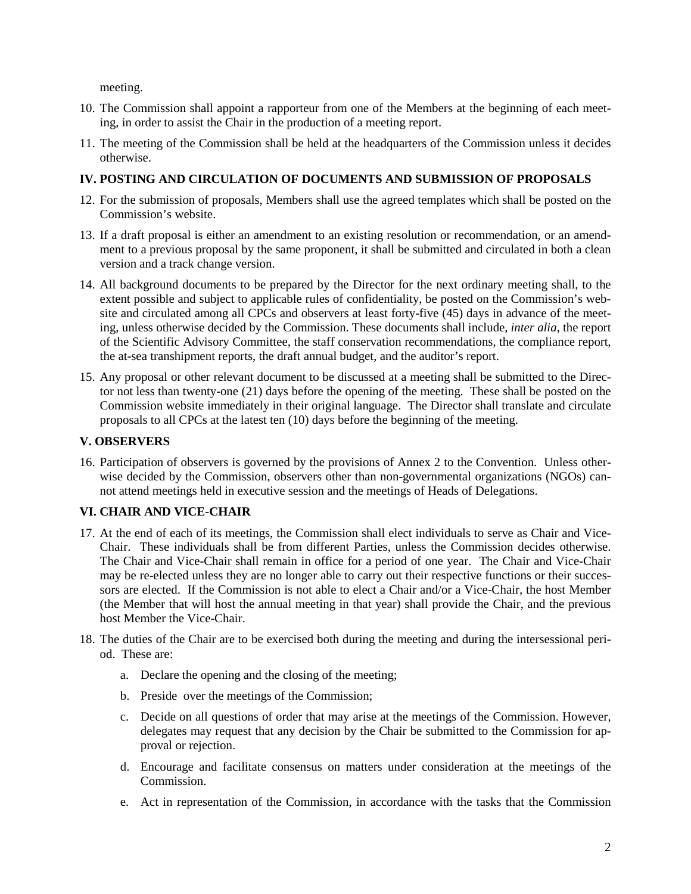meeting.

- 10. The Commission shall appoint a rapporteur from one of the Members at the beginning of each meeting, in order to assist the Chair in the production of a meeting report.
- 11. The meeting of the Commission shall be held at the headquarters of the Commission unless it decides otherwise.

## **IV. POSTING AND CIRCULATION OF DOCUMENTS AND SUBMISSION OF PROPOSALS**

- 12. For the submission of proposals, Members shall use the agreed templates which shall be posted on the Commission's website.
- 13. If a draft proposal is either an amendment to an existing resolution or recommendation, or an amendment to a previous proposal by the same proponent, it shall be submitted and circulated in both a clean version and a track change version.
- 14. All background documents to be prepared by the Director for the next ordinary meeting shall, to the extent possible and subject to applicable rules of confidentiality, be posted on the Commission's website and circulated among all CPCs and observers at least forty-five (45) days in advance of the meeting, unless otherwise decided by the Commission. These documents shall include, *inter alia*, the report of the Scientific Advisory Committee, the staff conservation recommendations, the compliance report, the at-sea transhipment reports, the draft annual budget, and the auditor's report.
- 15. Any proposal or other relevant document to be discussed at a meeting shall be submitted to the Director not less than twenty-one (21) days before the opening of the meeting. These shall be posted on the Commission website immediately in their original language. The Director shall translate and circulate proposals to all CPCs at the latest ten (10) days before the beginning of the meeting.

# **V. OBSERVERS**

16. Participation of observers is governed by the provisions of Annex 2 to the Convention. Unless otherwise decided by the Commission, observers other than non-governmental organizations (NGOs) cannot attend meetings held in executive session and the meetings of Heads of Delegations.

# **VI. CHAIR AND VICE-CHAIR**

- 17. At the end of each of its meetings, the Commission shall elect individuals to serve as Chair and Vice-Chair. These individuals shall be from different Parties, unless the Commission decides otherwise. The Chair and Vice-Chair shall remain in office for a period of one year. The Chair and Vice-Chair may be re-elected unless they are no longer able to carry out their respective functions or their successors are elected. If the Commission is not able to elect a Chair and/or a Vice-Chair, the host Member (the Member that will host the annual meeting in that year) shall provide the Chair, and the previous host Member the Vice-Chair.
- 18. The duties of the Chair are to be exercised both during the meeting and during the intersessional period. These are:
	- a. Declare the opening and the closing of the meeting;
	- b. Preside over the meetings of the Commission;
	- c. Decide on all questions of order that may arise at the meetings of the Commission. However, delegates may request that any decision by the Chair be submitted to the Commission for approval or rejection.
	- d. Encourage and facilitate consensus on matters under consideration at the meetings of the Commission.
	- e. Act in representation of the Commission, in accordance with the tasks that the Commission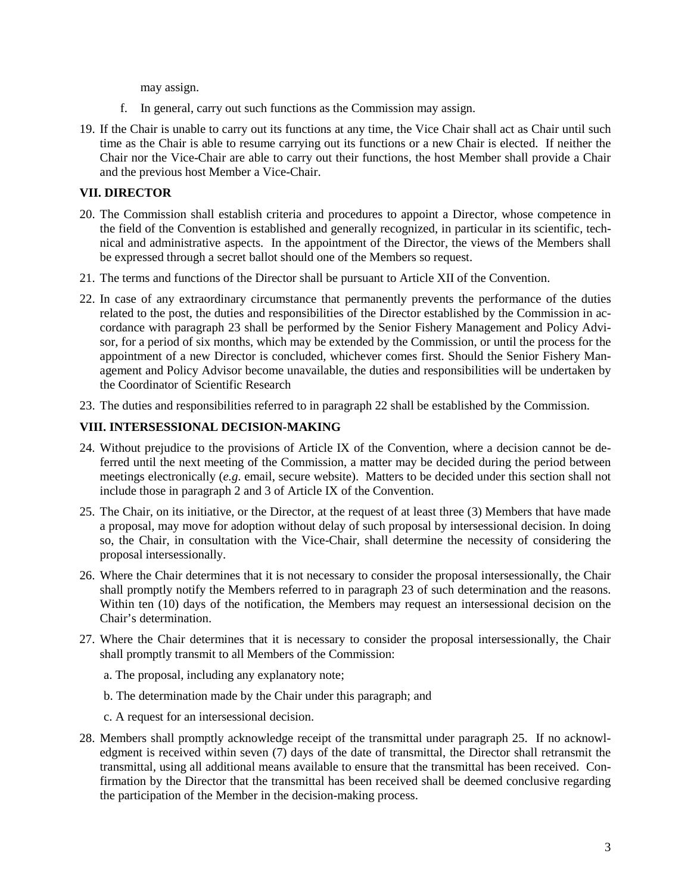may assign.

- f. In general, carry out such functions as the Commission may assign.
- 19. If the Chair is unable to carry out its functions at any time, the Vice Chair shall act as Chair until such time as the Chair is able to resume carrying out its functions or a new Chair is elected. If neither the Chair nor the Vice-Chair are able to carry out their functions, the host Member shall provide a Chair and the previous host Member a Vice-Chair.

## **VII. DIRECTOR**

- 20. The Commission shall establish criteria and procedures to appoint a Director, whose competence in the field of the Convention is established and generally recognized, in particular in its scientific, technical and administrative aspects. In the appointment of the Director, the views of the Members shall be expressed through a secret ballot should one of the Members so request.
- 21. The terms and functions of the Director shall be pursuant to Article XII of the Convention.
- 22. In case of any extraordinary circumstance that permanently prevents the performance of the duties related to the post, the duties and responsibilities of the Director established by the Commission in accordance with paragraph 23 shall be performed by the Senior Fishery Management and Policy Advisor, for a period of six months, which may be extended by the Commission, or until the process for the appointment of a new Director is concluded, whichever comes first. Should the Senior Fishery Management and Policy Advisor become unavailable, the duties and responsibilities will be undertaken by the Coordinator of Scientific Research
- 23. The duties and responsibilities referred to in paragraph 22 shall be established by the Commission.

## **VIII. INTERSESSIONAL DECISION-MAKING**

- 24. Without prejudice to the provisions of Article IX of the Convention, where a decision cannot be deferred until the next meeting of the Commission, a matter may be decided during the period between meetings electronically (*e.g*. email, secure website). Matters to be decided under this section shall not include those in paragraph 2 and 3 of Article IX of the Convention.
- 25. The Chair, on its initiative, or the Director, at the request of at least three (3) Members that have made a proposal, may move for adoption without delay of such proposal by intersessional decision. In doing so, the Chair, in consultation with the Vice-Chair, shall determine the necessity of considering the proposal intersessionally.
- 26. Where the Chair determines that it is not necessary to consider the proposal intersessionally, the Chair shall promptly notify the Members referred to in paragraph 23 of such determination and the reasons. Within ten (10) days of the notification, the Members may request an intersessional decision on the Chair's determination.
- 27. Where the Chair determines that it is necessary to consider the proposal intersessionally, the Chair shall promptly transmit to all Members of the Commission:
	- a. The proposal, including any explanatory note;
	- b. The determination made by the Chair under this paragraph; and
	- c. A request for an intersessional decision.
- 28. Members shall promptly acknowledge receipt of the transmittal under paragraph 25. If no acknowledgment is received within seven (7) days of the date of transmittal, the Director shall retransmit the transmittal, using all additional means available to ensure that the transmittal has been received. Confirmation by the Director that the transmittal has been received shall be deemed conclusive regarding the participation of the Member in the decision-making process.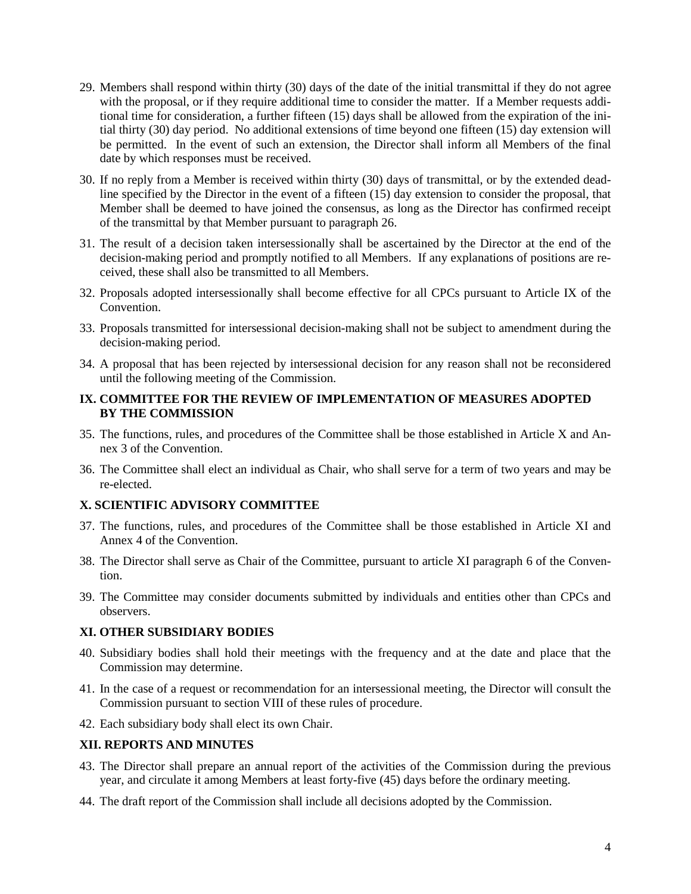- 29. Members shall respond within thirty (30) days of the date of the initial transmittal if they do not agree with the proposal, or if they require additional time to consider the matter. If a Member requests additional time for consideration, a further fifteen (15) days shall be allowed from the expiration of the initial thirty (30) day period. No additional extensions of time beyond one fifteen (15) day extension will be permitted. In the event of such an extension, the Director shall inform all Members of the final date by which responses must be received.
- 30. If no reply from a Member is received within thirty (30) days of transmittal, or by the extended deadline specified by the Director in the event of a fifteen (15) day extension to consider the proposal, that Member shall be deemed to have joined the consensus, as long as the Director has confirmed receipt of the transmittal by that Member pursuant to paragraph 26.
- 31. The result of a decision taken intersessionally shall be ascertained by the Director at the end of the decision-making period and promptly notified to all Members. If any explanations of positions are received, these shall also be transmitted to all Members.
- 32. Proposals adopted intersessionally shall become effective for all CPCs pursuant to Article IX of the Convention.
- 33. Proposals transmitted for intersessional decision-making shall not be subject to amendment during the decision-making period.
- 34. A proposal that has been rejected by intersessional decision for any reason shall not be reconsidered until the following meeting of the Commission.

#### **IX. COMMITTEE FOR THE REVIEW OF IMPLEMENTATION OF MEASURES ADOPTED BY THE COMMISSION**

- 35. The functions, rules, and procedures of the Committee shall be those established in Article X and Annex 3 of the Convention.
- 36. The Committee shall elect an individual as Chair, who shall serve for a term of two years and may be re-elected.

#### **X. SCIENTIFIC ADVISORY COMMITTEE**

- 37. The functions, rules, and procedures of the Committee shall be those established in Article XI and Annex 4 of the Convention.
- 38. The Director shall serve as Chair of the Committee, pursuant to article XI paragraph 6 of the Convention.
- 39. The Committee may consider documents submitted by individuals and entities other than CPCs and observers.

#### **XI. OTHER SUBSIDIARY BODIES**

- 40. Subsidiary bodies shall hold their meetings with the frequency and at the date and place that the Commission may determine.
- 41. In the case of a request or recommendation for an intersessional meeting, the Director will consult the Commission pursuant to section VIII of these rules of procedure.
- 42. Each subsidiary body shall elect its own Chair.

## **XII. REPORTS AND MINUTES**

- 43. The Director shall prepare an annual report of the activities of the Commission during the previous year, and circulate it among Members at least forty-five (45) days before the ordinary meeting.
- 44. The draft report of the Commission shall include all decisions adopted by the Commission.